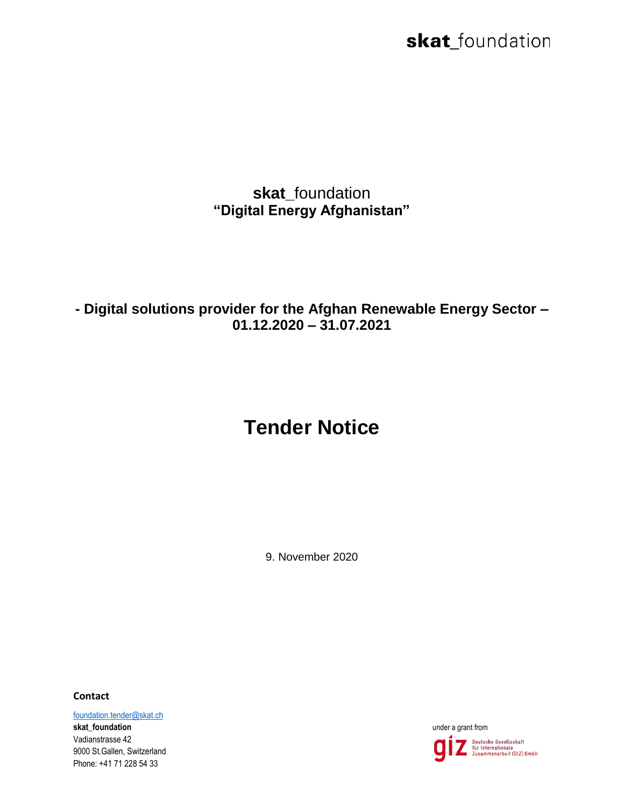skat\_foundation

**skat\_**foundation **"Digital Energy Afghanistan"**

**- Digital solutions provider for the Afghan Renewable Energy Sector – 01.12.2020 – 31.07.2021**

## **Tender Notice**

9. November 2020

**Contact**

[foundation.tender@skat.ch](mailto:foundation.tender@skat.ch) **skat\_foundation under a grant from <b>under a grant from under a grant from under a grant from** Vadianstrasse 42 9000 St.Gallen, Switzerland Phone: +41 71 228 54 33

Deutsche Gesellschaft<br>für Internationale<br>Zusammenarbeit (GIZ) GmbH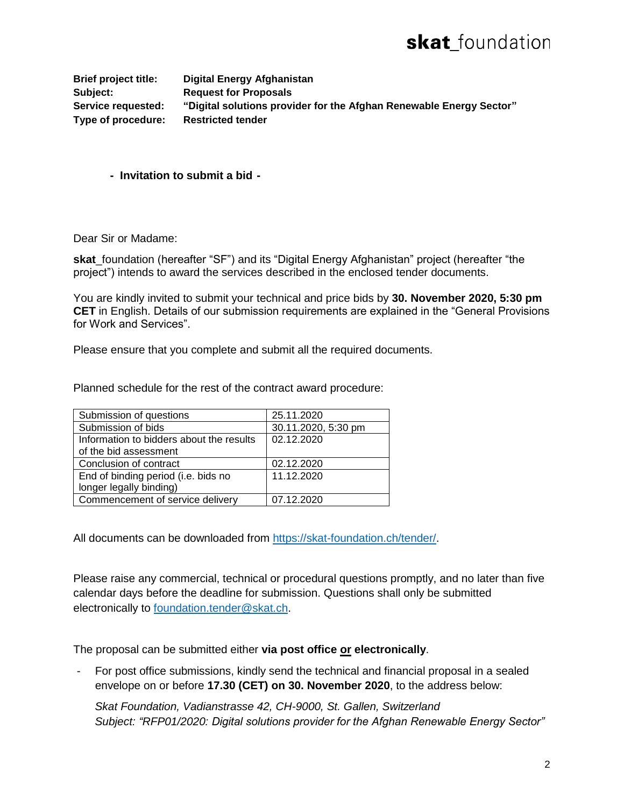**Brief project title: Digital Energy Afghanistan Subject: Request for Proposals Service requested: "Digital solutions provider for the Afghan Renewable Energy Sector" Type of procedure: Restricted tender**

**- Invitation to submit a bid -**

Dear Sir or Madame:

**skat** foundation (hereafter "SF") and its "Digital Energy Afghanistan" project (hereafter "the project") intends to award the services described in the enclosed tender documents.

You are kindly invited to submit your technical and price bids by **30. November 2020, 5:30 pm CET** in English. Details of our submission requirements are explained in the "General Provisions for Work and Services".

Please ensure that you complete and submit all the required documents.

Planned schedule for the rest of the contract award procedure:

| Submission of questions                  | 25.11.2020          |
|------------------------------------------|---------------------|
| Submission of bids                       | 30.11.2020, 5:30 pm |
| Information to bidders about the results | 02.12.2020          |
| of the bid assessment                    |                     |
| Conclusion of contract                   | 02.12.2020          |
| End of binding period (i.e. bids no      | 11.12.2020          |
| longer legally binding)                  |                     |
| Commencement of service delivery         | 07.12.2020          |

All documents can be downloaded from [https://skat-foundation.ch/tender/.](https://skat-foundation.ch/tender/)

Please raise any commercial, technical or procedural questions promptly, and no later than five calendar days before the deadline for submission. Questions shall only be submitted electronically to [foundation.tender@skat.ch.](mailto:foundation.tender@skat.ch)

The proposal can be submitted either **via post office or electronically**.

- For post office submissions, kindly send the technical and financial proposal in a sealed envelope on or before **17.30 (CET) on 30. November 2020**, to the address below:

*Skat Foundation, Vadianstrasse 42, CH-9000, St. Gallen, Switzerland Subject: "RFP01/2020: Digital solutions provider for the Afghan Renewable Energy Sector"*